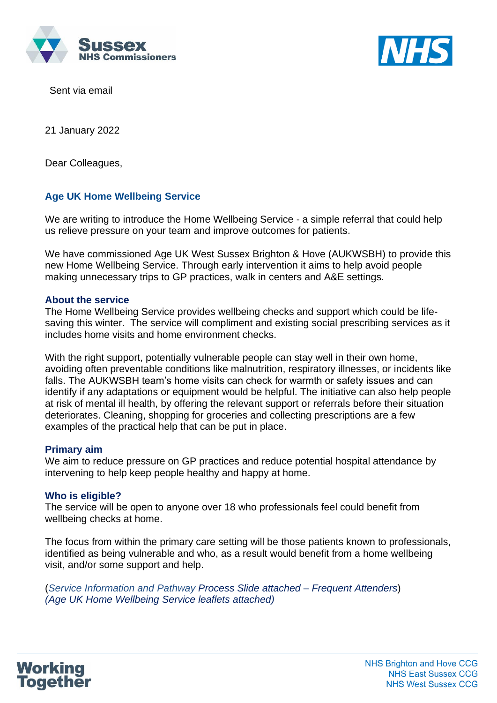



Sent via email

21 January 2022

Dear Colleagues,

# **Age UK Home Wellbeing Service**

We are writing to introduce the Home Wellbeing Service - a simple referral that could help us relieve pressure on your team and improve outcomes for patients.

We have commissioned Age UK West Sussex Brighton & Hove (AUKWSBH) to provide this new Home Wellbeing Service. Through early intervention it aims to help avoid people making unnecessary trips to GP practices, walk in centers and A&E settings.

## **About the service**

The Home Wellbeing Service provides wellbeing checks and support which could be lifesaving this winter.The service will compliment and existing social prescribing services as it includes home visits and home environment checks.

With the right support, potentially vulnerable people can stay well in their own home, avoiding often preventable conditions like malnutrition, respiratory illnesses, or incidents like falls. The AUKWSBH team's home visits can check for warmth or safety issues and can identify if any adaptations or equipment would be helpful. The initiative can also help people at risk of mental ill health, by offering the relevant support or referrals before their situation deteriorates. Cleaning, shopping for groceries and collecting prescriptions are a few examples of the practical help that can be put in place.

#### **Primary aim**

We aim to reduce pressure on GP practices and reduce potential hospital attendance by intervening to help keep people healthy and happy at home.

# **Who is eligible?**

The service will be open to anyone over 18 who professionals feel could benefit from wellbeing checks at home.

The focus from within the primary care setting will be those patients known to professionals, identified as being vulnerable and who, as a result would benefit from a home wellbeing visit, and/or some support and help.

(*Service Information and Pathway Process Slide attached – Frequent Attenders*) *(Age UK Home Wellbeing Service leaflets attached)*